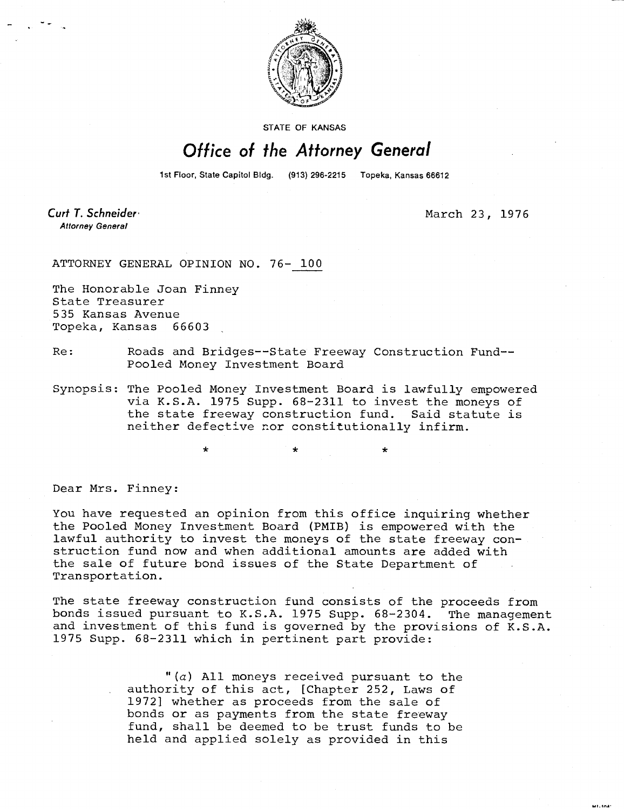

STATE OF KANSAS

## Office of the Attorney General

1st Floor, State Capitol Bldg. (913) 296-2215 Topeka, Kansas 66612

Curt T. Schneider **Attorney General** 

March 23, 1976

ATTORNEY GENERAL OPINION NO. 76- 100

The Honorable Joan Finney State Treasurer 535 Kansas Avenue Topeka, Kansas 66603

- Re: Roads and Bridges--State Freeway Construction Fund-- Pooled Money Investment Board
- Synopsis: The Pooled Money Investment Board is lawfully empowered via K.S.A. 1975 Supp. 68-2311 to invest the moneys of the state freeway construction fund. Said statute is neither defective nor constitutionally infirm.

Dear Mrs. Finney:

You have requested an opinion from this office inquiring whether the Pooled Money Investment Board (PMIB) is empowered with the lawful authority to invest the moneys of the state freeway construction fund now and when additional amounts are added with the sale of future bond issues of the State Department of Transportation.

The state freeway construction fund consists of the proceeds from bonds issued pursuant to K.S.A. 1975 Supp. 68-2304. The management and investment of this fund is governed by the provisions of K.S.A. 1975 Supp. 68-2311 which in pertinent part provide:

> $(a)$  All moneys received pursuant to the authority of this act, [Chapter 252, Laws of 1972] whether as proceeds from the sale of bonds or as payments from the state freeway fund, shall be deemed to be trust funds to be held and applied solely as provided in this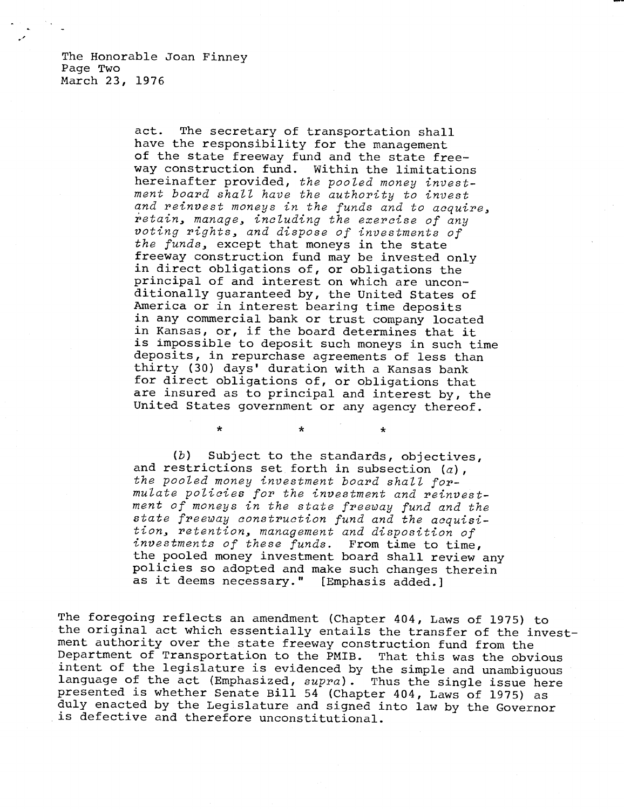The Honorable Joan Finney Page Two March 23, 1976

> act. The secretary of transportation shall have the responsibility for the management of the state freeway fund and the state freeway construction fund. Within the limitations hereinafter provided, the pooled money investment board shall have the authority to invest and reinvest moneys in the funds and to acquire, retain, manage, including the exercise of any voting rights, and dispose of investments of the funds, except that moneys in the state freeway construction fund may be invested only in direct obligations of, or obligations the principal of and interest on which are unconditionally guaranteed by, the United States of America or in interest bearing time deposits in any commercial bank or trust company located in Kansas, or, if the board determines that it is impossible to deposit such moneys in such time deposits, in repurchase agreements of less than thirty (30) days' duration with a Kansas bank for direct obligations of, or obligations that are insured as to principal and interest by, the United States government or any agency thereof.

(b) Subject to the standards, objectives, and restrictions set forth in subsection  $(a)$ , the pooled money investment board shall formulate policies for the investment and reinvestment of moneys in the state freeway fund and the state freeway construction fund and the acquisition, retention, management and disposition of investments of these funds. From time to time, the pooled money investment board shall review any policies so adopted and make such changes therein as it deems necessary." [Emphasis added.]

 $\star$ 

The foregoing reflects an amendment (Chapter 404, Laws of 1975) to the original act which essentially entails the transfer of the investment authority over the state freeway construction fund from the Department of Transportation to the PMIB. That this was the obvious intent of the legislature is evidenced by the simple and unambiguous language of the act (Emphasized, supra). Thus the single issue here presented is whether Senate Bill 54 (Chapter 404, Laws of 1975) as duly enacted by the Legislature and signed into law by the Governor is defective and therefore unconstitutional.